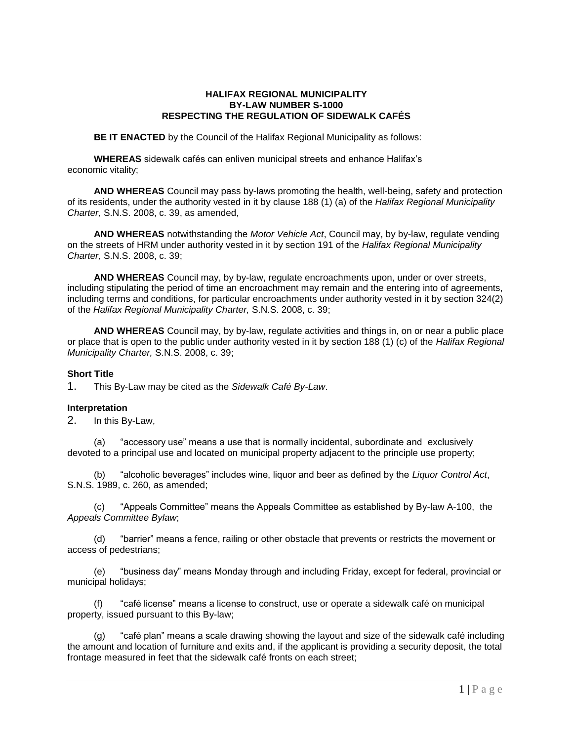### **HALIFAX REGIONAL MUNICIPALITY BY-LAW NUMBER S-1000 RESPECTING THE REGULATION OF SIDEWALK CAFÉS**

**BE IT ENACTED** by the Council of the Halifax Regional Municipality as follows:

**WHEREAS** sidewalk cafés can enliven municipal streets and enhance Halifax's economic vitality;

**AND WHEREAS** Council may pass by-laws promoting the health, well-being, safety and protection of its residents, under the authority vested in it by clause 188 (1) (a) of the *Halifax Regional Municipality Charter,* S.N.S. 2008, c. 39, as amended,

**AND WHEREAS** notwithstanding the *Motor Vehicle Act*, Council may, by by-law, regulate vending on the streets of HRM under authority vested in it by section 191 of the *Halifax Regional Municipality Charter,* S.N.S. 2008, c. 39;

**AND WHEREAS** Council may, by by-law, regulate encroachments upon, under or over streets, including stipulating the period of time an encroachment may remain and the entering into of agreements, including terms and conditions, for particular encroachments under authority vested in it by section 324(2) of the *Halifax Regional Municipality Charter,* S.N.S. 2008, c. 39;

**AND WHEREAS** Council may, by by-law, regulate activities and things in, on or near a public place or place that is open to the public under authority vested in it by section 188 (1) (c) of the *Halifax Regional Municipality Charter,* S.N.S. 2008, c. 39;

### **Short Title**

1. This By-Law may be cited as the *Sidewalk Café By-Law*.

### **Interpretation**

2. In this By-Law,

(a) "accessory use" means a use that is normally incidental, subordinate and exclusively devoted to a principal use and located on municipal property adjacent to the principle use property;

(b) "alcoholic beverages" includes wine, liquor and beer as defined by the *Liquor Control Act*, S.N.S. 1989, c. 260, as amended;

(c) "Appeals Committee" means the Appeals Committee as established by By-law A-100, the *Appeals Committee Bylaw*;

(d) "barrier" means a fence, railing or other obstacle that prevents or restricts the movement or access of pedestrians;

(e) "business day" means Monday through and including Friday, except for federal, provincial or municipal holidays;

(f) "café license" means a license to construct, use or operate a sidewalk café on municipal property, issued pursuant to this By-law;

(g) "café plan" means a scale drawing showing the layout and size of the sidewalk café including the amount and location of furniture and exits and, if the applicant is providing a security deposit, the total frontage measured in feet that the sidewalk café fronts on each street;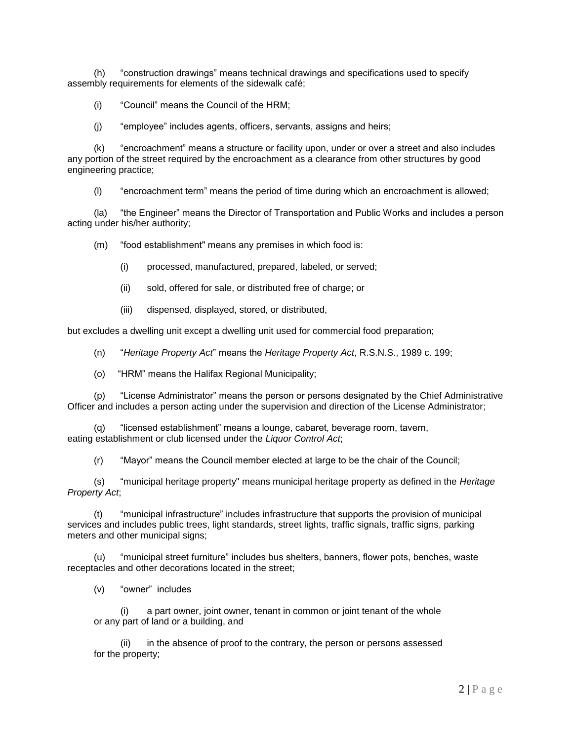(h) "construction drawings" means technical drawings and specifications used to specify assembly requirements for elements of the sidewalk café;

(i) "Council" means the Council of the HRM;

(j) "employee" includes agents, officers, servants, assigns and heirs;

(k) "encroachment" means a structure or facility upon, under or over a street and also includes any portion of the street required by the encroachment as a clearance from other structures by good engineering practice;

(l) "encroachment term" means the period of time during which an encroachment is allowed;

(la) "the Engineer" means the Director of Transportation and Public Works and includes a person acting under his/her authority;

(m) "food establishment" means any premises in which food is:

- (i) processed, manufactured, prepared, labeled, or served;
- (ii) sold, offered for sale, or distributed free of charge; or
- (iii) dispensed, displayed, stored, or distributed,

but excludes a dwelling unit except a dwelling unit used for commercial food preparation;

(n) "*Heritage Property Act*" means the *Heritage Property Act*, R.S.N.S., 1989 c. 199;

(o) "HRM" means the Halifax Regional Municipality;

(p) "License Administrator" means the person or persons designated by the Chief Administrative Officer and includes a person acting under the supervision and direction of the License Administrator;

(q) "licensed establishment" means a lounge, cabaret, beverage room, tavern, eating establishment or club licensed under the *Liquor Control Act*;

(r) "Mayor" means the Council member elected at large to be the chair of the Council;

(s) "municipal heritage property" means municipal heritage property as defined in the *Heritage Property Act*;

(t) "municipal infrastructure" includes infrastructure that supports the provision of municipal services and includes public trees, light standards, street lights, traffic signals, traffic signs, parking meters and other municipal signs;

(u) "municipal street furniture" includes bus shelters, banners, flower pots, benches, waste receptacles and other decorations located in the street;

(v) "owner" includes

(i) a part owner, joint owner, tenant in common or joint tenant of the whole or any part of land or a building, and

(ii) in the absence of proof to the contrary, the person or persons assessed for the property;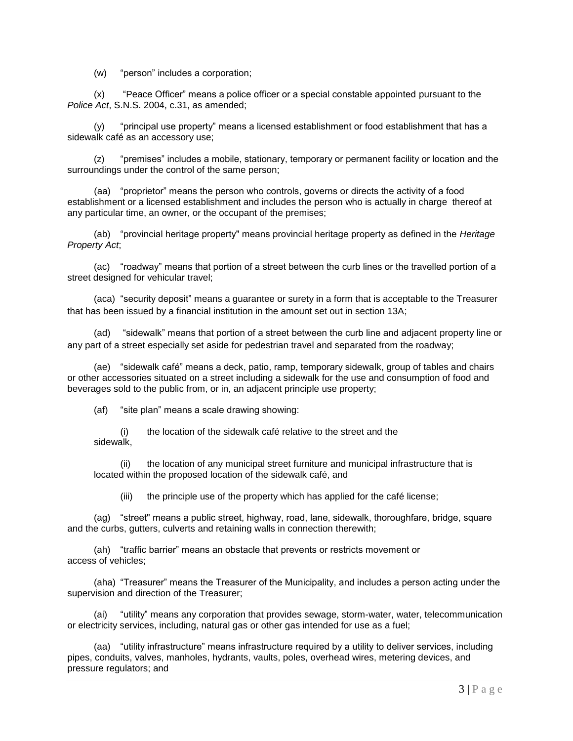(w) "person" includes a corporation;

(x) "Peace Officer" means a police officer or a special constable appointed pursuant to the *Police Act*, S.N.S. 2004, c.31, as amended;

(y) "principal use property" means a licensed establishment or food establishment that has a sidewalk café as an accessory use;

(z) "premises" includes a mobile, stationary, temporary or permanent facility or location and the surroundings under the control of the same person;

(aa) "proprietor" means the person who controls, governs or directs the activity of a food establishment or a licensed establishment and includes the person who is actually in charge thereof at any particular time, an owner, or the occupant of the premises;

(ab) "provincial heritage property" means provincial heritage property as defined in the *Heritage Property Act*;

(ac) "roadway" means that portion of a street between the curb lines or the travelled portion of a street designed for vehicular travel;

(aca) "security deposit" means a guarantee or surety in a form that is acceptable to the Treasurer that has been issued by a financial institution in the amount set out in section 13A;

"sidewalk" means that portion of a street between the curb line and adjacent property line or any part of a street especially set aside for pedestrian travel and separated from the roadway;

(ae) "sidewalk café" means a deck, patio, ramp, temporary sidewalk, group of tables and chairs or other accessories situated on a street including a sidewalk for the use and consumption of food and beverages sold to the public from, or in, an adjacent principle use property;

(af) "site plan" means a scale drawing showing:

(i) the location of the sidewalk café relative to the street and the sidewalk,

(ii) the location of any municipal street furniture and municipal infrastructure that is located within the proposed location of the sidewalk café, and

(iii) the principle use of the property which has applied for the café license;

(ag) "street" means a public street, highway, road, lane, sidewalk, thoroughfare, bridge, square and the curbs, gutters, culverts and retaining walls in connection therewith;

(ah) "traffic barrier" means an obstacle that prevents or restricts movement or access of vehicles;

(aha) "Treasurer" means the Treasurer of the Municipality, and includes a person acting under the supervision and direction of the Treasurer;

(ai) "utility" means any corporation that provides sewage, storm-water, water, telecommunication or electricity services, including, natural gas or other gas intended for use as a fuel;

(aa) "utility infrastructure" means infrastructure required by a utility to deliver services, including pipes, conduits, valves, manholes, hydrants, vaults, poles, overhead wires, metering devices, and pressure regulators; and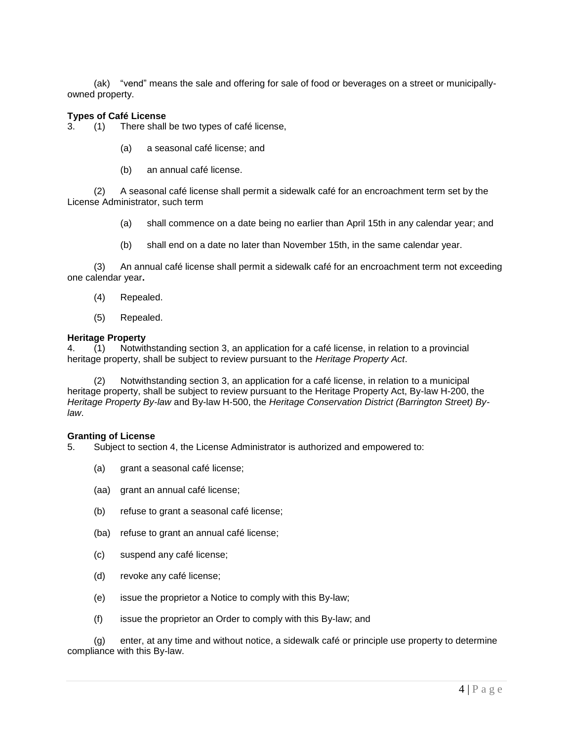(ak) "vend" means the sale and offering for sale of food or beverages on a street or municipallyowned property.

### **Types of Café License**

3. (1) There shall be two types of café license,

- (a) a seasonal café license; and
- (b) an annual café license.

(2) A seasonal café license shall permit a sidewalk café for an encroachment term set by the License Administrator, such term

- (a) shall commence on a date being no earlier than April 15th in any calendar year; and
- (b) shall end on a date no later than November 15th, in the same calendar year.

(3) An annual café license shall permit a sidewalk café for an encroachment term not exceeding one calendar year**.**

- (4) Repealed.
- (5) Repealed.

#### **Heritage Property**

4. (1) Notwithstanding section 3, an application for a café license, in relation to a provincial heritage property, shall be subject to review pursuant to the *Heritage Property Act*.

(2) Notwithstanding section 3, an application for a café license, in relation to a municipal heritage property, shall be subject to review pursuant to the Heritage Property Act, By-law H-200, the *Heritage Property By-law* and By-law H-500, the *Heritage Conservation District (Barrington Street) Bylaw*.

#### **Granting of License**

- 5. Subject to section 4, the License Administrator is authorized and empowered to:
	- (a) grant a seasonal café license;
	- (aa) grant an annual café license;
	- (b) refuse to grant a seasonal café license;
	- (ba) refuse to grant an annual café license;
	- (c) suspend any café license;
	- (d) revoke any café license;
	- (e) issue the proprietor a Notice to comply with this By-law;
	- (f) issue the proprietor an Order to comply with this By-law; and

(g) enter, at any time and without notice, a sidewalk café or principle use property to determine compliance with this By-law.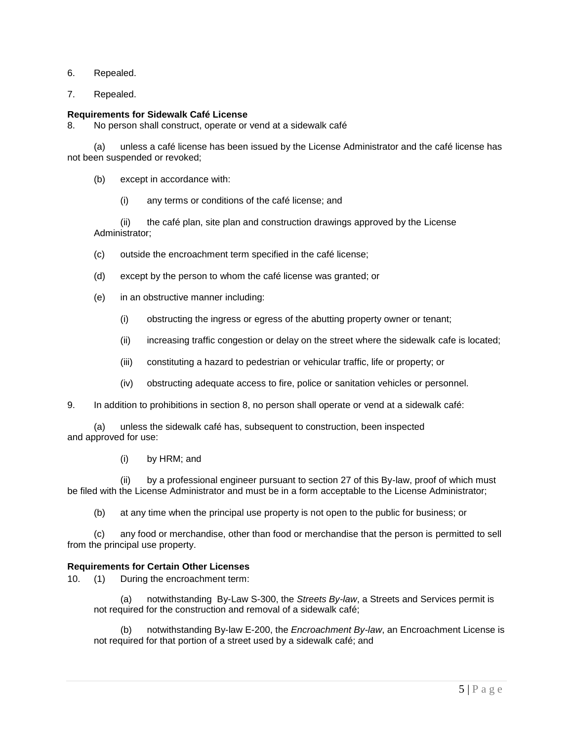- 6. Repealed.
- 7. Repealed.

# **Requirements for Sidewalk Café License**

8. No person shall construct, operate or vend at a sidewalk café

(a) unless a café license has been issued by the License Administrator and the café license has not been suspended or revoked;

(b) except in accordance with:

(i) any terms or conditions of the café license; and

(ii) the café plan, site plan and construction drawings approved by the License Administrator;

- (c) outside the encroachment term specified in the café license;
- (d) except by the person to whom the café license was granted; or
- (e) in an obstructive manner including:
	- (i) obstructing the ingress or egress of the abutting property owner or tenant;
	- (ii) increasing traffic congestion or delay on the street where the sidewalk cafe is located;
	- (iii) constituting a hazard to pedestrian or vehicular traffic, life or property; or
	- (iv) obstructing adequate access to fire, police or sanitation vehicles or personnel.
- 9. In addition to prohibitions in section 8, no person shall operate or vend at a sidewalk café:

(a) unless the sidewalk café has, subsequent to construction, been inspected and approved for use:

(i) by HRM; and

(ii) by a professional engineer pursuant to section 27 of this By-law, proof of which must be filed with the License Administrator and must be in a form acceptable to the License Administrator;

(b) at any time when the principal use property is not open to the public for business; or

(c) any food or merchandise, other than food or merchandise that the person is permitted to sell from the principal use property.

# **Requirements for Certain Other Licenses**

10. (1) During the encroachment term:

(a) notwithstanding By-Law S-300, the *Streets By-law*, a Streets and Services permit is not required for the construction and removal of a sidewalk café;

notwithstanding By-law E-200, the *Encroachment By-law*, an Encroachment License is not required for that portion of a street used by a sidewalk café; and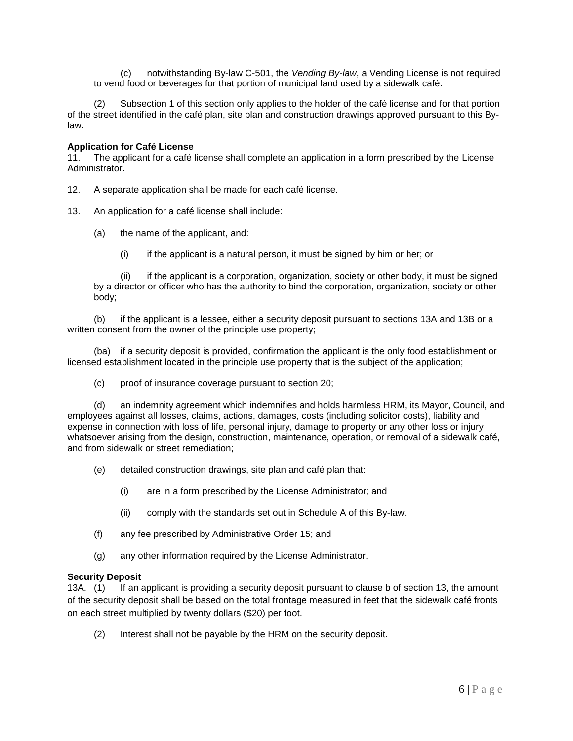(c) notwithstanding By-law C-501, the *Vending By-law*, a Vending License is not required to vend food or beverages for that portion of municipal land used by a sidewalk café.

(2) Subsection 1 of this section only applies to the holder of the café license and for that portion of the street identified in the café plan, site plan and construction drawings approved pursuant to this Bylaw.

## **Application for Café License**

11. The applicant for a café license shall complete an application in a form prescribed by the License Administrator.

- 12. A separate application shall be made for each café license.
- 13. An application for a café license shall include:
	- (a) the name of the applicant, and:
		- (i) if the applicant is a natural person, it must be signed by him or her; or

(ii) if the applicant is a corporation, organization, society or other body, it must be signed by a director or officer who has the authority to bind the corporation, organization, society or other body;

(b) if the applicant is a lessee, either a security deposit pursuant to sections 13A and 13B or a written consent from the owner of the principle use property;

(ba) if a security deposit is provided, confirmation the applicant is the only food establishment or licensed establishment located in the principle use property that is the subject of the application;

(c) proof of insurance coverage pursuant to section 20;

(d) an indemnity agreement which indemnifies and holds harmless HRM, its Mayor, Council, and employees against all losses, claims, actions, damages, costs (including solicitor costs), liability and expense in connection with loss of life, personal injury, damage to property or any other loss or injury whatsoever arising from the design, construction, maintenance, operation, or removal of a sidewalk café, and from sidewalk or street remediation;

- (e) detailed construction drawings, site plan and café plan that:
	- (i) are in a form prescribed by the License Administrator; and
	- (ii) comply with the standards set out in Schedule A of this By-law.
- (f) any fee prescribed by Administrative Order 15; and
- (g) any other information required by the License Administrator.

### **Security Deposit**

13A. (1) If an applicant is providing a security deposit pursuant to clause b of section 13, the amount of the security deposit shall be based on the total frontage measured in feet that the sidewalk café fronts on each street multiplied by twenty dollars (\$20) per foot.

(2) Interest shall not be payable by the HRM on the security deposit.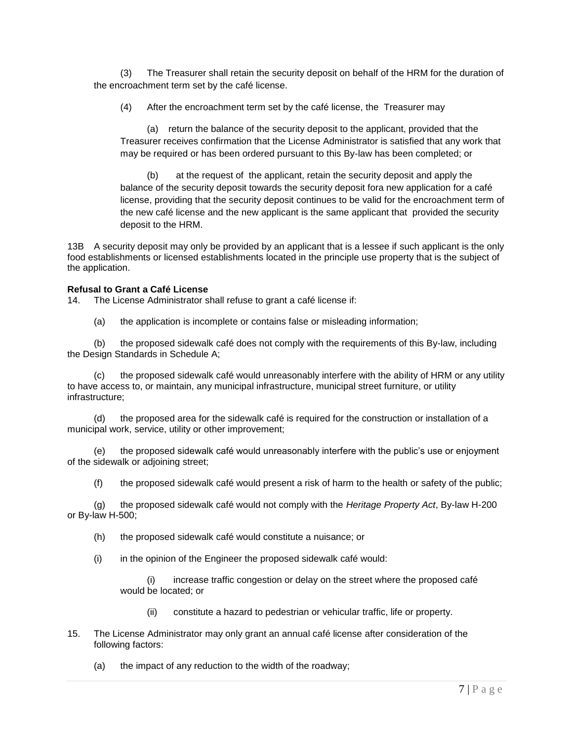(3) The Treasurer shall retain the security deposit on behalf of the HRM for the duration of the encroachment term set by the café license.

(4) After the encroachment term set by the café license, the Treasurer may

(a) return the balance of the security deposit to the applicant, provided that the Treasurer receives confirmation that the License Administrator is satisfied that any work that may be required or has been ordered pursuant to this By-law has been completed; or

(b) at the request of the applicant, retain the security deposit and apply the balance of the security deposit towards the security deposit fora new application for a café license, providing that the security deposit continues to be valid for the encroachment term of the new café license and the new applicant is the same applicant that provided the security deposit to the HRM.

13B A security deposit may only be provided by an applicant that is a lessee if such applicant is the only food establishments or licensed establishments located in the principle use property that is the subject of the application.

## **Refusal to Grant a Café License**

14. The License Administrator shall refuse to grant a café license if:

(a) the application is incomplete or contains false or misleading information;

(b) the proposed sidewalk café does not comply with the requirements of this By-law, including the Design Standards in Schedule A;

(c) the proposed sidewalk café would unreasonably interfere with the ability of HRM or any utility to have access to, or maintain, any municipal infrastructure, municipal street furniture, or utility infrastructure;

(d) the proposed area for the sidewalk café is required for the construction or installation of a municipal work, service, utility or other improvement;

(e) the proposed sidewalk café would unreasonably interfere with the public's use or enjoyment of the sidewalk or adjoining street;

(f) the proposed sidewalk café would present a risk of harm to the health or safety of the public;

(g) the proposed sidewalk café would not comply with the *Heritage Property Act*, By-law H-200 or By-law H-500;

(h) the proposed sidewalk café would constitute a nuisance; or

 $(i)$  in the opinion of the Engineer the proposed sidewalk café would:

(i) increase traffic congestion or delay on the street where the proposed café would be located; or

- (ii) constitute a hazard to pedestrian or vehicular traffic, life or property.
- 15. The License Administrator may only grant an annual café license after consideration of the following factors:

(a) the impact of any reduction to the width of the roadway;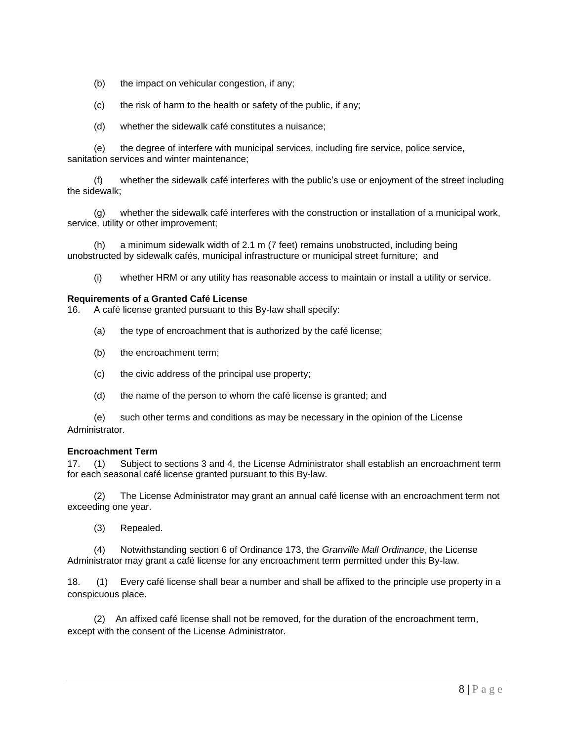- (b) the impact on vehicular congestion, if any;
- (c) the risk of harm to the health or safety of the public, if any;
- (d) whether the sidewalk café constitutes a nuisance;

(e) the degree of interfere with municipal services, including fire service, police service, sanitation services and winter maintenance;

(f) whether the sidewalk café interferes with the public's use or enjoyment of the street including the sidewalk;

(g) whether the sidewalk café interferes with the construction or installation of a municipal work, service, utility or other improvement;

(h) a minimum sidewalk width of 2.1 m (7 feet) remains unobstructed, including being unobstructed by sidewalk cafés, municipal infrastructure or municipal street furniture; and

(i) whether HRM or any utility has reasonable access to maintain or install a utility or service.

### **Requirements of a Granted Café License**

16. A café license granted pursuant to this By-law shall specify:

- (a) the type of encroachment that is authorized by the café license;
- (b) the encroachment term;
- (c) the civic address of the principal use property;
- (d) the name of the person to whom the café license is granted; and

(e) such other terms and conditions as may be necessary in the opinion of the License Administrator.

### **Encroachment Term**

17. (1) Subject to sections 3 and 4, the License Administrator shall establish an encroachment term for each seasonal café license granted pursuant to this By-law.

 (2) The License Administrator may grant an annual café license with an encroachment term not exceeding one year.

(3) Repealed.

 (4) Notwithstanding section 6 of Ordinance 173, the *Granville Mall Ordinance*, the License Administrator may grant a café license for any encroachment term permitted under this By-law.

18. (1) Every café license shall bear a number and shall be affixed to the principle use property in a conspicuous place.

 (2) An affixed café license shall not be removed, for the duration of the encroachment term, except with the consent of the License Administrator.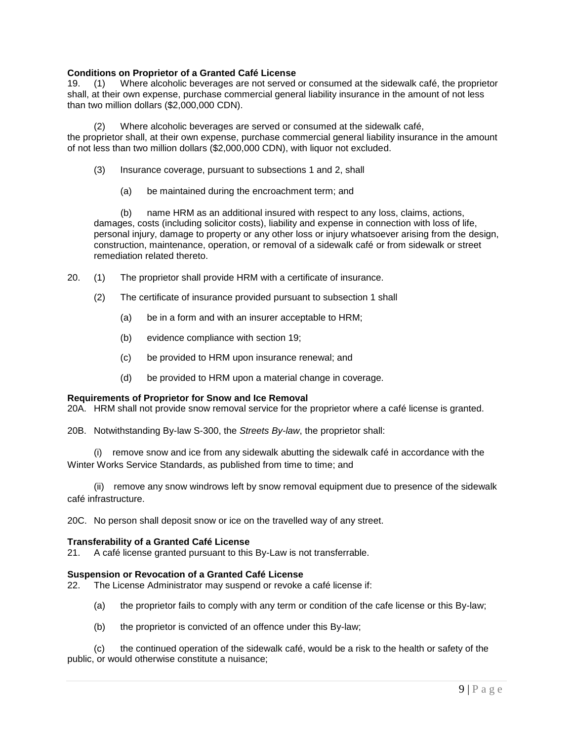# **Conditions on Proprietor of a Granted Café License**

19. (1) Where alcoholic beverages are not served or consumed at the sidewalk café, the proprietor shall, at their own expense, purchase commercial general liability insurance in the amount of not less than two million dollars (\$2,000,000 CDN).

(2) Where alcoholic beverages are served or consumed at the sidewalk café, the proprietor shall, at their own expense, purchase commercial general liability insurance in the amount of not less than two million dollars (\$2,000,000 CDN), with liquor not excluded.

- (3) Insurance coverage, pursuant to subsections 1 and 2, shall
	- (a) be maintained during the encroachment term; and

(b) name HRM as an additional insured with respect to any loss, claims, actions, damages, costs (including solicitor costs), liability and expense in connection with loss of life, personal injury, damage to property or any other loss or injury whatsoever arising from the design, construction, maintenance, operation, or removal of a sidewalk café or from sidewalk or street remediation related thereto.

- 20. (1) The proprietor shall provide HRM with a certificate of insurance.
	- (2) The certificate of insurance provided pursuant to subsection 1 shall
		- (a) be in a form and with an insurer acceptable to HRM;
		- (b) evidence compliance with section 19;
		- (c) be provided to HRM upon insurance renewal; and
		- (d) be provided to HRM upon a material change in coverage.

### **Requirements of Proprietor for Snow and Ice Removal**

20A. HRM shall not provide snow removal service for the proprietor where a café license is granted.

20B. Notwithstanding By-law S-300, the *Streets By-law*, the proprietor shall:

(i) remove snow and ice from any sidewalk abutting the sidewalk café in accordance with the Winter Works Service Standards, as published from time to time; and

(ii) remove any snow windrows left by snow removal equipment due to presence of the sidewalk café infrastructure.

20C. No person shall deposit snow or ice on the travelled way of any street.

### **Transferability of a Granted Café License**

21. A café license granted pursuant to this By-Law is not transferrable.

### **Suspension or Revocation of a Granted Café License**

22. The License Administrator may suspend or revoke a café license if:

- (a) the proprietor fails to comply with any term or condition of the cafe license or this By-law;
- (b) the proprietor is convicted of an offence under this By-law;

(c) the continued operation of the sidewalk café, would be a risk to the health or safety of the public, or would otherwise constitute a nuisance;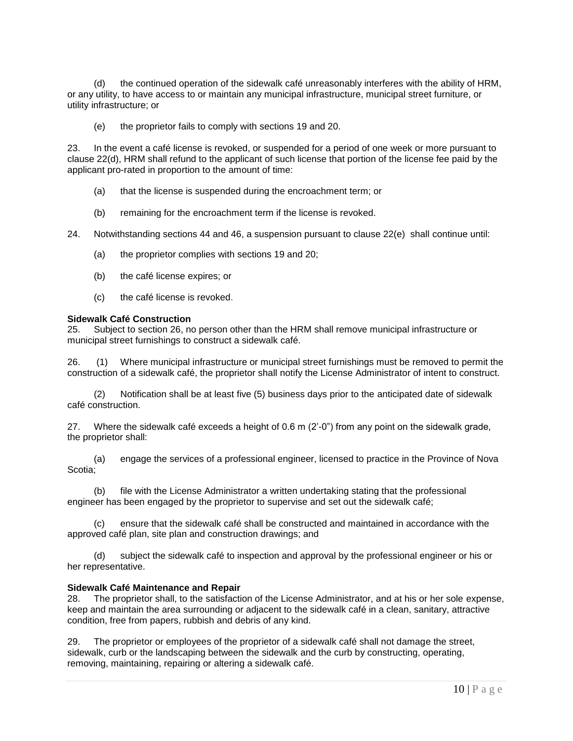(d) the continued operation of the sidewalk café unreasonably interferes with the ability of HRM, or any utility, to have access to or maintain any municipal infrastructure, municipal street furniture, or utility infrastructure; or

(e) the proprietor fails to comply with sections 19 and 20.

23. In the event a café license is revoked, or suspended for a period of one week or more pursuant to clause 22(d), HRM shall refund to the applicant of such license that portion of the license fee paid by the applicant pro-rated in proportion to the amount of time:

- (a) that the license is suspended during the encroachment term; or
- (b) remaining for the encroachment term if the license is revoked.

24. Notwithstanding sections 44 and 46, a suspension pursuant to clause 22(e) shall continue until:

- (a) the proprietor complies with sections 19 and 20;
- (b) the café license expires; or
- (c) the café license is revoked.

### **Sidewalk Café Construction**

25. Subject to section 26, no person other than the HRM shall remove municipal infrastructure or municipal street furnishings to construct a sidewalk café.

26. (1) Where municipal infrastructure or municipal street furnishings must be removed to permit the construction of a sidewalk café, the proprietor shall notify the License Administrator of intent to construct.

(2) Notification shall be at least five (5) business days prior to the anticipated date of sidewalk café construction.

27. Where the sidewalk café exceeds a height of 0.6 m (2'-0") from any point on the sidewalk grade, the proprietor shall:

(a) engage the services of a professional engineer, licensed to practice in the Province of Nova Scotia;

file with the License Administrator a written undertaking stating that the professional engineer has been engaged by the proprietor to supervise and set out the sidewalk café;

(c) ensure that the sidewalk café shall be constructed and maintained in accordance with the approved café plan, site plan and construction drawings; and

(d) subject the sidewalk café to inspection and approval by the professional engineer or his or her representative.

### **Sidewalk Café Maintenance and Repair**

28. The proprietor shall, to the satisfaction of the License Administrator, and at his or her sole expense, keep and maintain the area surrounding or adjacent to the sidewalk café in a clean, sanitary, attractive condition, free from papers, rubbish and debris of any kind.

29. The proprietor or employees of the proprietor of a sidewalk café shall not damage the street, sidewalk, curb or the landscaping between the sidewalk and the curb by constructing, operating, removing, maintaining, repairing or altering a sidewalk café.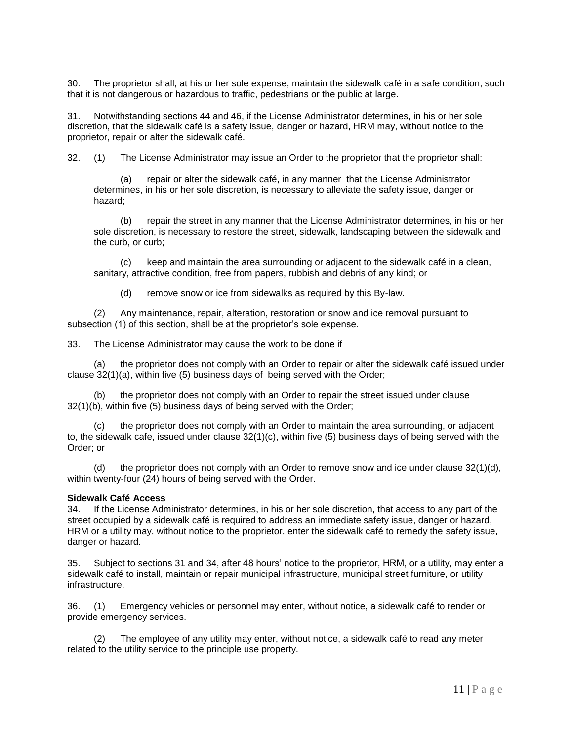30. The proprietor shall, at his or her sole expense, maintain the sidewalk café in a safe condition, such that it is not dangerous or hazardous to traffic, pedestrians or the public at large.

31. Notwithstanding sections 44 and 46, if the License Administrator determines, in his or her sole discretion, that the sidewalk café is a safety issue, danger or hazard, HRM may, without notice to the proprietor, repair or alter the sidewalk café.

32. (1) The License Administrator may issue an Order to the proprietor that the proprietor shall:

(a) repair or alter the sidewalk café, in any manner that the License Administrator determines, in his or her sole discretion, is necessary to alleviate the safety issue, danger or hazard;

(b) repair the street in any manner that the License Administrator determines, in his or her sole discretion, is necessary to restore the street, sidewalk, landscaping between the sidewalk and the curb, or curb;

(c) keep and maintain the area surrounding or adjacent to the sidewalk café in a clean, sanitary, attractive condition, free from papers, rubbish and debris of any kind; or

(d) remove snow or ice from sidewalks as required by this By-law.

 (2) Any maintenance, repair, alteration, restoration or snow and ice removal pursuant to subsection (1) of this section, shall be at the proprietor's sole expense.

33. The License Administrator may cause the work to be done if

(a) the proprietor does not comply with an Order to repair or alter the sidewalk café issued under clause 32(1)(a), within five (5) business days of being served with the Order;

(b) the proprietor does not comply with an Order to repair the street issued under clause 32(1)(b), within five (5) business days of being served with the Order;

(c) the proprietor does not comply with an Order to maintain the area surrounding, or adjacent to, the sidewalk cafe, issued under clause 32(1)(c), within five (5) business days of being served with the Order; or

(d) the proprietor does not comply with an Order to remove snow and ice under clause  $32(1)(d)$ , within twenty-four (24) hours of being served with the Order.

### **Sidewalk Café Access**

34. If the License Administrator determines, in his or her sole discretion, that access to any part of the street occupied by a sidewalk café is required to address an immediate safety issue, danger or hazard, HRM or a utility may, without notice to the proprietor, enter the sidewalk café to remedy the safety issue, danger or hazard.

35. Subject to sections 31 and 34, after 48 hours' notice to the proprietor, HRM, or a utility, may enter a sidewalk café to install, maintain or repair municipal infrastructure, municipal street furniture, or utility infrastructure.

36. (1) Emergency vehicles or personnel may enter, without notice, a sidewalk café to render or provide emergency services.

(2) The employee of any utility may enter, without notice, a sidewalk café to read any meter related to the utility service to the principle use property.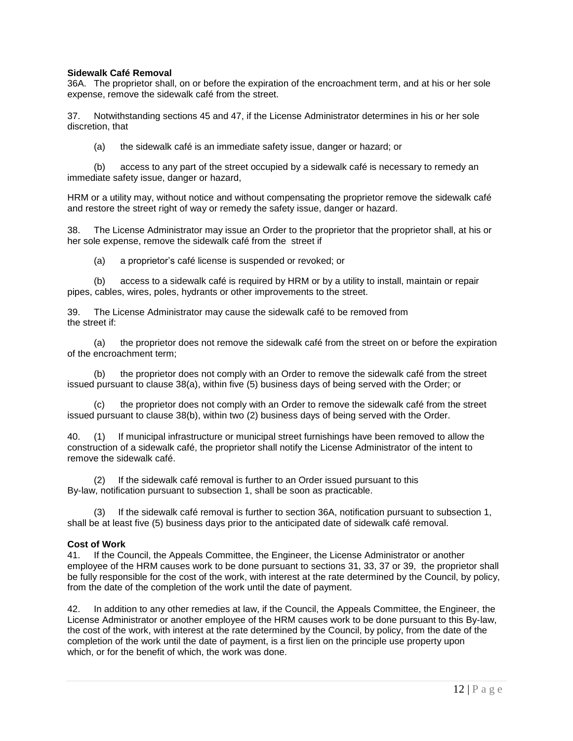## **Sidewalk Café Removal**

36A. The proprietor shall, on or before the expiration of the encroachment term, and at his or her sole expense, remove the sidewalk café from the street.

37. Notwithstanding sections 45 and 47, if the License Administrator determines in his or her sole discretion, that

(a) the sidewalk café is an immediate safety issue, danger or hazard; or

(b) access to any part of the street occupied by a sidewalk café is necessary to remedy an immediate safety issue, danger or hazard,

HRM or a utility may, without notice and without compensating the proprietor remove the sidewalk café and restore the street right of way or remedy the safety issue, danger or hazard.

38. The License Administrator may issue an Order to the proprietor that the proprietor shall, at his or her sole expense, remove the sidewalk café from the street if

(a) a proprietor's café license is suspended or revoked; or

(b) access to a sidewalk café is required by HRM or by a utility to install, maintain or repair pipes, cables, wires, poles, hydrants or other improvements to the street.

39. The License Administrator may cause the sidewalk café to be removed from the street if:

(a) the proprietor does not remove the sidewalk café from the street on or before the expiration of the encroachment term;

(b) the proprietor does not comply with an Order to remove the sidewalk café from the street issued pursuant to clause 38(a), within five (5) business days of being served with the Order; or

(c) the proprietor does not comply with an Order to remove the sidewalk café from the street issued pursuant to clause 38(b), within two (2) business days of being served with the Order.

40. (1) If municipal infrastructure or municipal street furnishings have been removed to allow the construction of a sidewalk café, the proprietor shall notify the License Administrator of the intent to remove the sidewalk café.

(2) If the sidewalk café removal is further to an Order issued pursuant to this By-law, notification pursuant to subsection 1, shall be soon as practicable.

(3) If the sidewalk café removal is further to section 36A, notification pursuant to subsection 1, shall be at least five (5) business days prior to the anticipated date of sidewalk café removal.

### **Cost of Work**

41. If the Council, the Appeals Committee, the Engineer, the License Administrator or another employee of the HRM causes work to be done pursuant to sections 31, 33, 37 or 39, the proprietor shall be fully responsible for the cost of the work, with interest at the rate determined by the Council, by policy, from the date of the completion of the work until the date of payment.

42. In addition to any other remedies at law, if the Council, the Appeals Committee, the Engineer, the License Administrator or another employee of the HRM causes work to be done pursuant to this By-law, the cost of the work, with interest at the rate determined by the Council, by policy, from the date of the completion of the work until the date of payment, is a first lien on the principle use property upon which, or for the benefit of which, the work was done.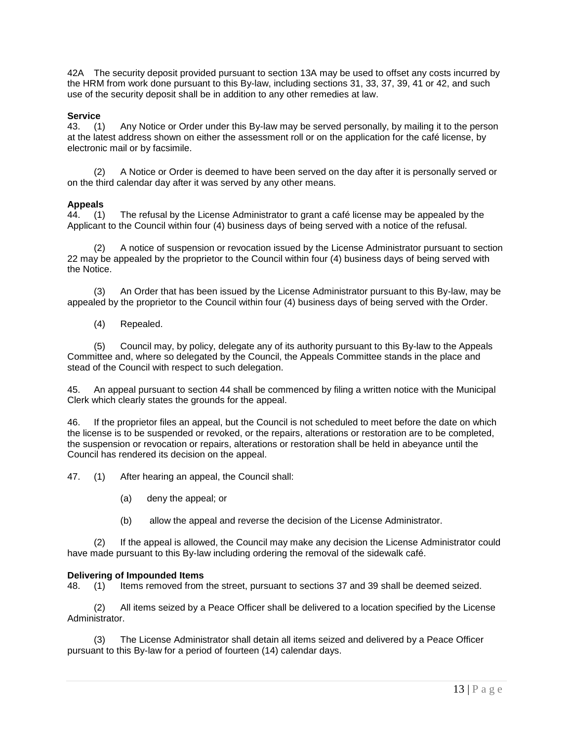42A The security deposit provided pursuant to section 13A may be used to offset any costs incurred by the HRM from work done pursuant to this By-law, including sections 31, 33, 37, 39, 41 or 42, and such use of the security deposit shall be in addition to any other remedies at law.

## **Service**

43. (1) Any Notice or Order under this By-law may be served personally, by mailing it to the person at the latest address shown on either the assessment roll or on the application for the café license, by electronic mail or by facsimile.

(2) A Notice or Order is deemed to have been served on the day after it is personally served or on the third calendar day after it was served by any other means.

### **Appeals**

44. (1) The refusal by the License Administrator to grant a café license may be appealed by the Applicant to the Council within four (4) business days of being served with a notice of the refusal.

(2) A notice of suspension or revocation issued by the License Administrator pursuant to section 22 may be appealed by the proprietor to the Council within four (4) business days of being served with the Notice.

(3) An Order that has been issued by the License Administrator pursuant to this By-law, may be appealed by the proprietor to the Council within four (4) business days of being served with the Order.

(4) Repealed.

(5) Council may, by policy, delegate any of its authority pursuant to this By-law to the Appeals Committee and, where so delegated by the Council, the Appeals Committee stands in the place and stead of the Council with respect to such delegation.

45. An appeal pursuant to section 44 shall be commenced by filing a written notice with the Municipal Clerk which clearly states the grounds for the appeal.

46. If the proprietor files an appeal, but the Council is not scheduled to meet before the date on which the license is to be suspended or revoked, or the repairs, alterations or restoration are to be completed, the suspension or revocation or repairs, alterations or restoration shall be held in abeyance until the Council has rendered its decision on the appeal.

47. (1) After hearing an appeal, the Council shall:

- (a) deny the appeal; or
- (b) allow the appeal and reverse the decision of the License Administrator.

(2) If the appeal is allowed, the Council may make any decision the License Administrator could have made pursuant to this By-law including ordering the removal of the sidewalk café.

### **Delivering of Impounded Items**

48. (1) Items removed from the street, pursuant to sections 37 and 39 shall be deemed seized.

(2) All items seized by a Peace Officer shall be delivered to a location specified by the License Administrator.

(3) The License Administrator shall detain all items seized and delivered by a Peace Officer pursuant to this By-law for a period of fourteen (14) calendar days.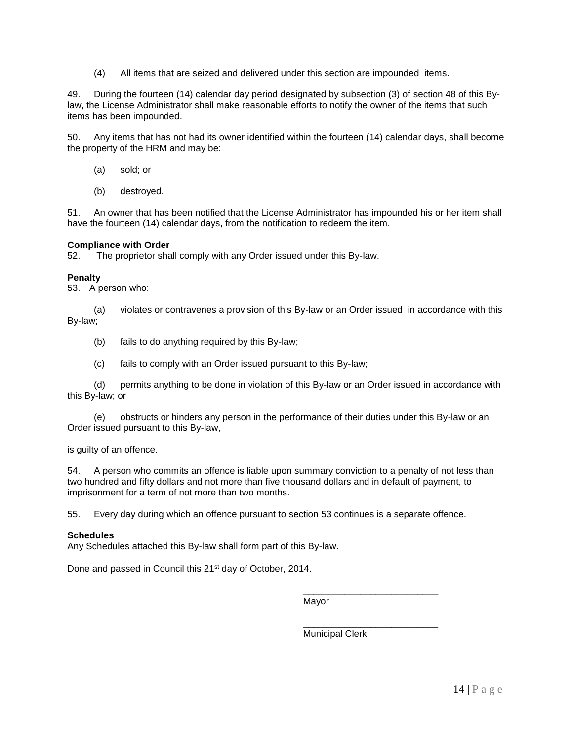(4) All items that are seized and delivered under this section are impounded items.

49. During the fourteen (14) calendar day period designated by subsection (3) of section 48 of this Bylaw, the License Administrator shall make reasonable efforts to notify the owner of the items that such items has been impounded.

50. Any items that has not had its owner identified within the fourteen (14) calendar days, shall become the property of the HRM and may be:

- (a) sold; or
- (b) destroyed.

51. An owner that has been notified that the License Administrator has impounded his or her item shall have the fourteen (14) calendar days, from the notification to redeem the item.

## **Compliance with Order**

52. The proprietor shall comply with any Order issued under this By-law.

## **Penalty**

53. A person who:

(a) violates or contravenes a provision of this By-law or an Order issued in accordance with this By-law;

- (b) fails to do anything required by this By-law;
- (c) fails to comply with an Order issued pursuant to this By-law;

(d) permits anything to be done in violation of this By-law or an Order issued in accordance with this By-law; or

(e) obstructs or hinders any person in the performance of their duties under this By-law or an Order issued pursuant to this By-law,

is guilty of an offence.

54. A person who commits an offence is liable upon summary conviction to a penalty of not less than two hundred and fifty dollars and not more than five thousand dollars and in default of payment, to imprisonment for a term of not more than two months.

55. Every day during which an offence pursuant to section 53 continues is a separate offence.

# **Schedules**

Any Schedules attached this By-law shall form part of this By-law.

Done and passed in Council this 21<sup>st</sup> day of October, 2014.

Mayor

Municipal Clerk

\_\_\_\_\_\_\_\_\_\_\_\_\_\_\_\_\_\_\_\_\_\_\_\_\_\_

\_\_\_\_\_\_\_\_\_\_\_\_\_\_\_\_\_\_\_\_\_\_\_\_\_\_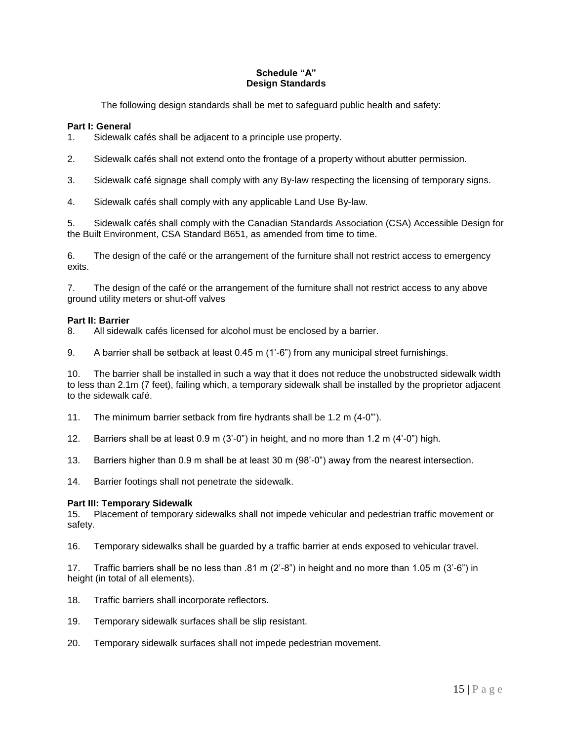# **Schedule "A" Design Standards**

The following design standards shall be met to safeguard public health and safety:

# **Part I: General**

1. Sidewalk cafés shall be adjacent to a principle use property.

2. Sidewalk cafés shall not extend onto the frontage of a property without abutter permission.

3. Sidewalk café signage shall comply with any By-law respecting the licensing of temporary signs.

4. Sidewalk cafés shall comply with any applicable Land Use By-law.

5. Sidewalk cafés shall comply with the Canadian Standards Association (CSA) Accessible Design for the Built Environment, CSA Standard B651, as amended from time to time.

6. The design of the café or the arrangement of the furniture shall not restrict access to emergency exits.

7. The design of the café or the arrangement of the furniture shall not restrict access to any above ground utility meters or shut-off valves

# **Part II: Barrier**

8. All sidewalk cafés licensed for alcohol must be enclosed by a barrier.

9. A barrier shall be setback at least 0.45 m (1'-6") from any municipal street furnishings.

10. The barrier shall be installed in such a way that it does not reduce the unobstructed sidewalk width to less than 2.1m (7 feet), failing which, a temporary sidewalk shall be installed by the proprietor adjacent to the sidewalk café.

11. The minimum barrier setback from fire hydrants shall be 1.2 m (4-0"').

12. Barriers shall be at least 0.9 m (3'-0") in height, and no more than 1.2 m (4'-0") high.

13. Barriers higher than 0.9 m shall be at least 30 m (98'-0") away from the nearest intersection.

14. Barrier footings shall not penetrate the sidewalk.

### **Part III: Temporary Sidewalk**

15. Placement of temporary sidewalks shall not impede vehicular and pedestrian traffic movement or safety.

16. Temporary sidewalks shall be guarded by a traffic barrier at ends exposed to vehicular travel.

17. Traffic barriers shall be no less than .81 m (2'-8") in height and no more than 1.05 m (3'-6") in height (in total of all elements).

- 18. Traffic barriers shall incorporate reflectors.
- 19. Temporary sidewalk surfaces shall be slip resistant.
- 20. Temporary sidewalk surfaces shall not impede pedestrian movement.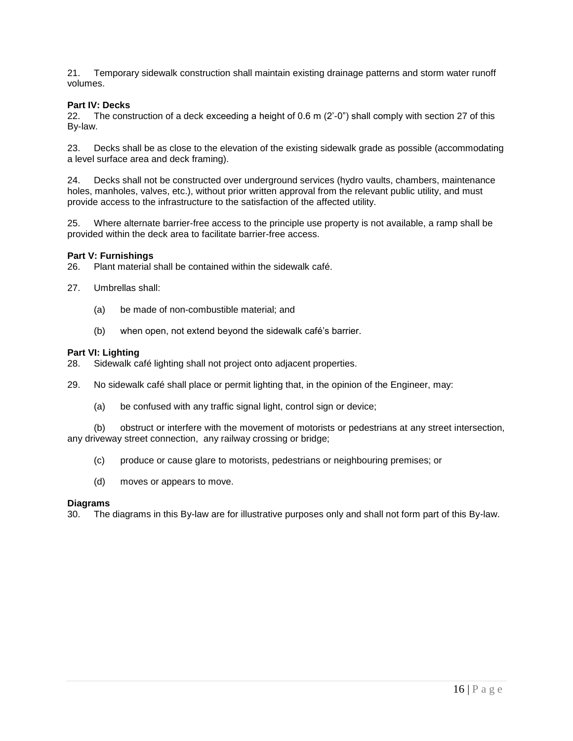21. Temporary sidewalk construction shall maintain existing drainage patterns and storm water runoff volumes.

# **Part IV: Decks**

22. The construction of a deck exceeding a height of 0.6 m (2'-0") shall comply with section 27 of this By-law.

23. Decks shall be as close to the elevation of the existing sidewalk grade as possible (accommodating a level surface area and deck framing).

24. Decks shall not be constructed over underground services (hydro vaults, chambers, maintenance holes, manholes, valves, etc.), without prior written approval from the relevant public utility, and must provide access to the infrastructure to the satisfaction of the affected utility.

25. Where alternate barrier-free access to the principle use property is not available, a ramp shall be provided within the deck area to facilitate barrier-free access.

### **Part V: Furnishings**

26. Plant material shall be contained within the sidewalk café.

- 27. Umbrellas shall:
	- (a) be made of non-combustible material; and
	- (b) when open, not extend beyond the sidewalk café's barrier.

#### **Part VI: Lighting**

- 28. Sidewalk café lighting shall not project onto adjacent properties.
- 29. No sidewalk café shall place or permit lighting that, in the opinion of the Engineer, may:
	- (a) be confused with any traffic signal light, control sign or device;

(b) obstruct or interfere with the movement of motorists or pedestrians at any street intersection, any driveway street connection, any railway crossing or bridge;

- (c) produce or cause glare to motorists, pedestrians or neighbouring premises; or
- (d) moves or appears to move.

#### **Diagrams**

30. The diagrams in this By-law are for illustrative purposes only and shall not form part of this By-law.